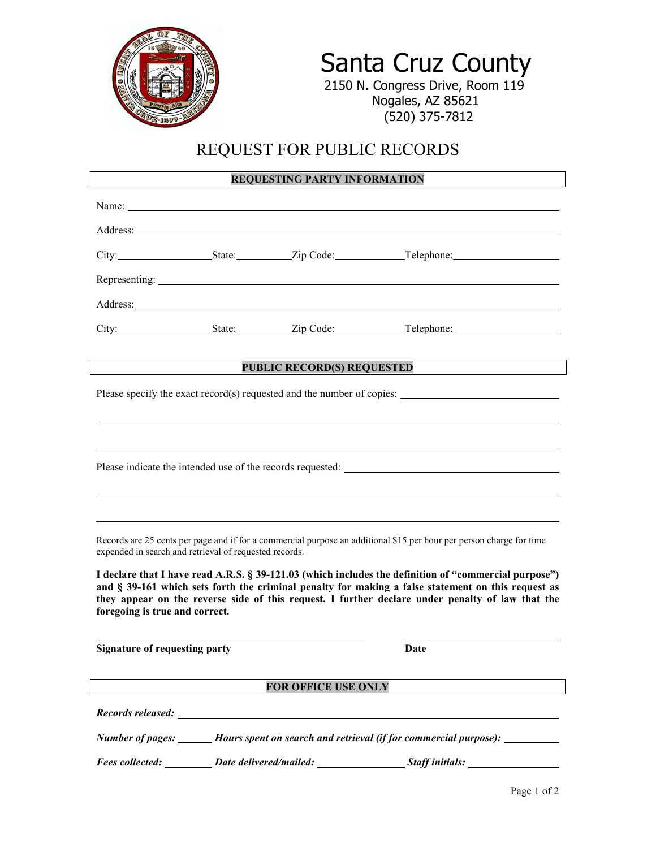

# Santa Cruz County<br>2150 N. Congress Drive, Room 119

 Nogales, AZ 85621 (520) 375-7812

## REQUEST FOR PUBLIC RECORDS

### **REQUESTING PARTY INFORMATION**

|                                                                                                                                                                                                        |  | Name: |                                         |
|--------------------------------------------------------------------------------------------------------------------------------------------------------------------------------------------------------|--|-------|-----------------------------------------|
|                                                                                                                                                                                                        |  |       |                                         |
|                                                                                                                                                                                                        |  |       | City: State: Zip Code: Telephone:       |
|                                                                                                                                                                                                        |  |       |                                         |
|                                                                                                                                                                                                        |  |       |                                         |
|                                                                                                                                                                                                        |  |       | City: State: Zip Code: Telephone: City: |
|                                                                                                                                                                                                        |  |       |                                         |
| <b>PUBLIC RECORD(S) REQUESTED</b>                                                                                                                                                                      |  |       |                                         |
| Please specify the exact record(s) requested and the number of copies:                                                                                                                                 |  |       |                                         |
|                                                                                                                                                                                                        |  |       |                                         |
|                                                                                                                                                                                                        |  |       |                                         |
|                                                                                                                                                                                                        |  |       |                                         |
|                                                                                                                                                                                                        |  |       |                                         |
|                                                                                                                                                                                                        |  |       |                                         |
| Records are 25 cents per page and if for a commercial purpose an additional \$15 per hour per person charge for time                                                                                   |  |       |                                         |
| expended in search and retrieval of requested records.                                                                                                                                                 |  |       |                                         |
| I declare that I have read A.R.S. § 39-121.03 (which includes the definition of "commercial purpose")                                                                                                  |  |       |                                         |
| and § 39-161 which sets forth the criminal penalty for making a false statement on this request as<br>they appear on the reverse side of this request. I further declare under penalty of law that the |  |       |                                         |
| foregoing is true and correct.                                                                                                                                                                         |  |       |                                         |
| <b>Signature of requesting party</b>                                                                                                                                                                   |  |       | <b>Date</b>                             |
|                                                                                                                                                                                                        |  |       |                                         |
| <b>FOR OFFICE USE ONLY</b>                                                                                                                                                                             |  |       |                                         |
| Records released:                                                                                                                                                                                      |  |       |                                         |
| Number of pages: ______ Hours spent on search and retrieval (if for commercial purpose): ________                                                                                                      |  |       |                                         |
| Fees collected: __________ Date delivered/mailed: ___________________Staff initials: ______________                                                                                                    |  |       |                                         |